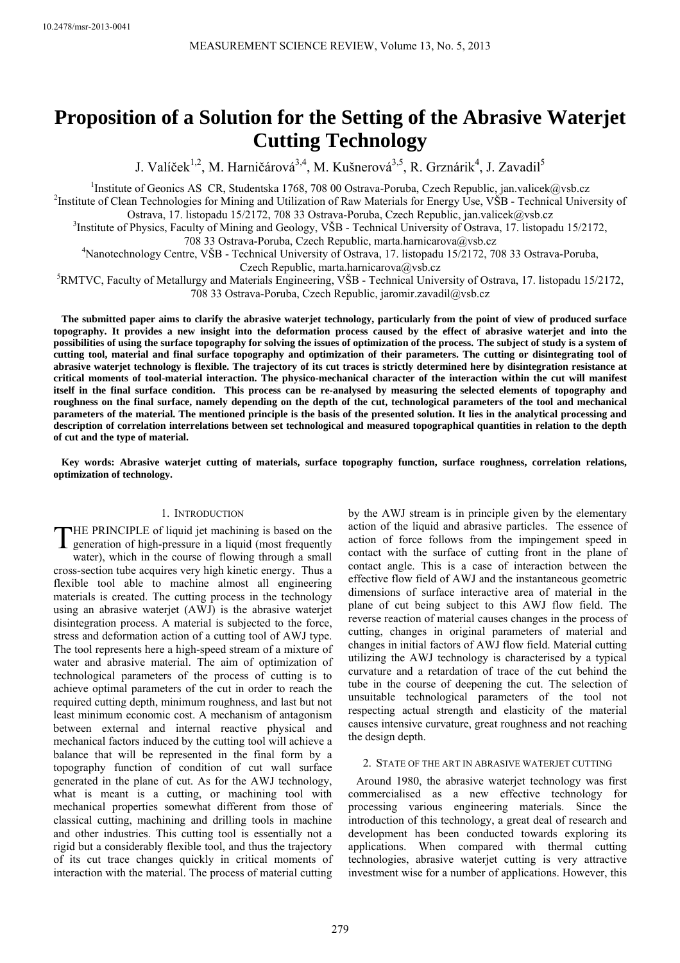# **Proposition of a Solution for the Setting of the Abrasive Waterjet Cutting Technology**

J. Valíček<sup>1,2</sup>, M. Harničárová<sup>3,4</sup>, M. Kušnerová<sup>3,5</sup>, R. Grznárik<sup>4</sup>, J. Zavadil<sup>5</sup>

<sup>1</sup>Institute of Geonics AS CR, Studentska 1768, 708 00 Ostrava-Poruba, Czech Republic, jan.valicek@vsb.cz<br><sup>2</sup>Institute of Clean Technologies for Mining and Utilization of Bow Materials for Energy Use VSB. Technical Unive <sup>2</sup>Institute of Clean Technologies for Mining and Utilization of Raw Materials for Energy Use, VŠB - Technical University of

Ostrava, 17. listopadu 15/2172, 708 33 Ostrava-Poruba, Czech Republic, jan.valicek@vsb.cz

Institute of Physics, Faculty of Mining and Geology, VŠB - Technical University of Ostrava, 17. listopadu 15/2172, 708 33 Ostrava-Poruba, Czech Republic, marta.harnicarova@vsb.cz 4

Nanotechnology Centre, VŠB - Technical University of Ostrava, 17. listopadu 15/2172, 708 33 Ostrava-Poruba,

Czech Republic, marta.harnicarova@vsb.cz<br><sup>5</sup>RMTVC, Faculty of Metallurgy and Materials Engineering, VŠB - Technical University of Ostrava, 17. listopadu 15/2172, 708 33 Ostrava-Poruba, Czech Republic, jaromir.zavadil@vsb.cz

**The submitted paper aims to clarify the abrasive waterjet technology, particularly from the point of view of produced surface topography. It provides a new insight into the deformation process caused by the effect of abrasive waterjet and into the possibilities of using the surface topography for solving the issues of optimization of the process. The subject of study is a system of cutting tool, material and final surface topography and optimization of their parameters. The cutting or disintegrating tool of abrasive waterjet technology is flexible. The trajectory of its cut traces is strictly determined here by disintegration resistance at critical moments of tool-material interaction. The physico-mechanical character of the interaction within the cut will manifest itself in the final surface condition. This process can be re-analysed by measuring the selected elements of topography and roughness on the final surface, namely depending on the depth of the cut, technological parameters of the tool and mechanical parameters of the material. The mentioned principle is the basis of the presented solution. It lies in the analytical processing and description of correlation interrelations between set technological and measured topographical quantities in relation to the depth of cut and the type of material.**

**Key words: Abrasive waterjet cutting of materials, surface topography function, surface roughness, correlation relations, optimization of technology.** 

# 1. INTRODUCTION

HE PRINCIPLE of liquid jet machining is based on the THE PRINCIPLE of liquid jet machining is based on the generation of high-pressure in a liquid (most frequently water), which in the course of flowing through a small cross-section tube acquires very high kinetic energy. Thus a flexible tool able to machine almost all engineering materials is created. The cutting process in the technology using an abrasive waterjet (AWJ) is the abrasive waterjet disintegration process. A material is subjected to the force, stress and deformation action of a cutting tool of AWJ type. The tool represents here a high-speed stream of a mixture of water and abrasive material. The aim of optimization of technological parameters of the process of cutting is to achieve optimal parameters of the cut in order to reach the required cutting depth, minimum roughness, and last but not least minimum economic cost. A mechanism of antagonism between external and internal reactive physical and mechanical factors induced by the cutting tool will achieve a balance that will be represented in the final form by a topography function of condition of cut wall surface generated in the plane of cut. As for the AWJ technology, what is meant is a cutting, or machining tool with mechanical properties somewhat different from those of classical cutting, machining and drilling tools in machine and other industries. This cutting tool is essentially not a rigid but a considerably flexible tool, and thus the trajectory of its cut trace changes quickly in critical moments of interaction with the material. The process of material cutting

by the AWJ stream is in principle given by the elementary action of the liquid and abrasive particles. The essence of action of force follows from the impingement speed in contact with the surface of cutting front in the plane of contact angle. This is a case of interaction between the effective flow field of AWJ and the instantaneous geometric dimensions of surface interactive area of material in the plane of cut being subject to this AWJ flow field. The reverse reaction of material causes changes in the process of cutting, changes in original parameters of material and changes in initial factors of AWJ flow field. Material cutting utilizing the AWJ technology is characterised by a typical curvature and a retardation of trace of the cut behind the tube in the course of deepening the cut. The selection of unsuitable technological parameters of the tool not respecting actual strength and elasticity of the material causes intensive curvature, great roughness and not reaching the design depth.

# 2. STATE OF THE ART IN ABRASIVE WATERJET CUTTING

Around 1980, the abrasive waterjet technology was first commercialised as a new effective technology for processing various engineering materials. Since the introduction of this technology, a great deal of research and development has been conducted towards exploring its applications. When compared with thermal cutting technologies, abrasive waterjet cutting is very attractive investment wise for a number of applications. However, this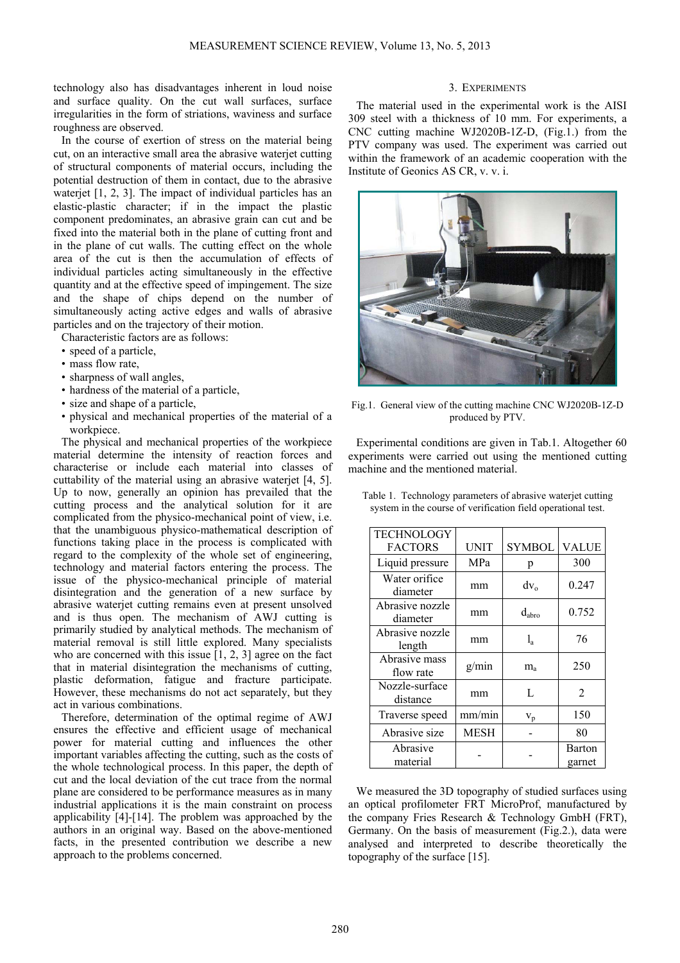technology also has disadvantages inherent in loud noise and surface quality. On the cut wall surfaces, surface irregularities in the form of striations, waviness and surface roughness are observed.

In the course of exertion of stress on the material being cut, on an interactive small area the abrasive waterjet cutting of structural components of material occurs, including the potential destruction of them in contact, due to the abrasive waterjet [1, 2, 3]. The impact of individual particles has an elastic-plastic character; if in the impact the plastic component predominates, an abrasive grain can cut and be fixed into the material both in the plane of cutting front and in the plane of cut walls. The cutting effect on the whole area of the cut is then the accumulation of effects of individual particles acting simultaneously in the effective quantity and at the effective speed of impingement. The size and the shape of chips depend on the number of simultaneously acting active edges and walls of abrasive particles and on the trajectory of their motion.

Characteristic factors are as follows:

- speed of a particle,
- mass flow rate,
- sharpness of wall angles,
- hardness of the material of a particle,
- size and shape of a particle,
- physical and mechanical properties of the material of a workpiece.

The physical and mechanical properties of the workpiece material determine the intensity of reaction forces and characterise or include each material into classes of cuttability of the material using an abrasive waterjet [4, 5]. Up to now, generally an opinion has prevailed that the cutting process and the analytical solution for it are complicated from the physico-mechanical point of view, i.e. that the unambiguous physico-mathematical description of functions taking place in the process is complicated with regard to the complexity of the whole set of engineering, technology and material factors entering the process. The issue of the physico-mechanical principle of material disintegration and the generation of a new surface by abrasive waterjet cutting remains even at present unsolved and is thus open. The mechanism of AWJ cutting is primarily studied by analytical methods. The mechanism of material removal is still little explored. Many specialists who are concerned with this issue [1, 2, 3] agree on the fact that in material disintegration the mechanisms of cutting, plastic deformation, fatigue and fracture participate. However, these mechanisms do not act separately, but they act in various combinations.

Therefore, determination of the optimal regime of AWJ ensures the effective and efficient usage of mechanical power for material cutting and influences the other important variables affecting the cutting, such as the costs of the whole technological process. In this paper, the depth of cut and the local deviation of the cut trace from the normal plane are considered to be performance measures as in many industrial applications it is the main constraint on process applicability [4]-[14]. The problem was approached by the authors in an original way. Based on the above-mentioned facts, in the presented contribution we describe a new approach to the problems concerned.

# 3. EXPERIMENTS

The material used in the experimental work is the AISI 309 steel with a thickness of 10 mm. For experiments, a CNC cutting machine WJ2020B-1Z-D, (Fig.1.) from the PTV company was used. The experiment was carried out within the framework of an academic cooperation with the Institute of Geonics AS CR, v. v. i.



Fig.1. General view of the cutting machine CNC WJ2020B-1Z-D produced by PTV.

Experimental conditions are given in Tab.1. Altogether 60 experiments were carried out using the mentioned cutting machine and the mentioned material.

| <b>TECHNOLOGY</b><br><b>FACTORS</b> | <b>UNIT</b> | <b>SYMBOL</b>  | <b>VALUE</b>     |
|-------------------------------------|-------------|----------------|------------------|
| Liquid pressure                     | <b>MPa</b>  | p              | 300              |
| Water orifice<br>diameter           | mm          | $dv_{o}$       | 0.247            |
| Abrasive nozzle<br>diameter         | mm          | $d_{abc}$      | 0.752            |
| Abrasive nozzle<br>length           | mm          | $l_{a}$        | 76               |
| Abrasive mass<br>flow rate          | g/min       | m <sub>a</sub> | 250              |
| Nozzle-surface<br>distance          | mm          | L              | 2                |
| Traverse speed                      | mm/min      | $\rm{v}_p$     | 150              |
| Abrasive size                       | <b>MESH</b> |                | 80               |
| Abrasive<br>material                |             |                | Barton<br>garnet |

Table 1. Technology parameters of abrasive waterjet cutting system in the course of verification field operational test.

We measured the 3D topography of studied surfaces using an optical profilometer FRT MicroProf, manufactured by the company Fries Research & Technology GmbH (FRT), Germany. On the basis of measurement (Fig.2.), data were analysed and interpreted to describe theoretically the topography of the surface [15].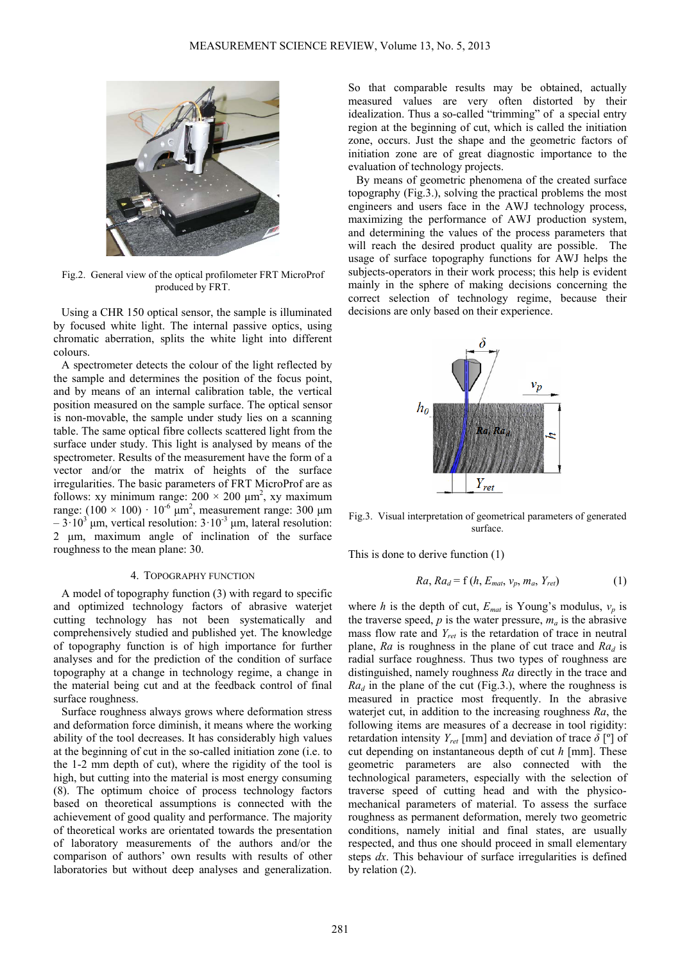

Fig.2. General view of the optical profilometer FRT MicroProf produced by FRT.

Using a CHR 150 optical sensor, the sample is illuminated by focused white light. The internal passive optics, using chromatic aberration, splits the white light into different colours.

A spectrometer detects the colour of the light reflected by the sample and determines the position of the focus point, and by means of an internal calibration table, the vertical position measured on the sample surface. The optical sensor is non-movable, the sample under study lies on a scanning table. The same optical fibre collects scattered light from the surface under study. This light is analysed by means of the spectrometer. Results of the measurement have the form of a vector and/or the matrix of heights of the surface irregularities. The basic parameters of FRT MicroProf are as follows: xy minimum range:  $200 \times 200 \mu m^2$ , xy maximum range:  $(100 \times 100)$   $10^{-6}$   $\mu$ m<sup>2</sup>, measurement range: 300  $\mu$ m  $-3.10<sup>3</sup>$  μm, vertical resolution:  $3.10<sup>3</sup>$  μm, lateral resolution: 2 μm, maximum angle of inclination of the surface roughness to the mean plane: 30.

#### 4. TOPOGRAPHY FUNCTION

A model of topography function (3) with regard to specific and optimized technology factors of abrasive waterjet cutting technology has not been systematically and comprehensively studied and published yet. The knowledge of topography function is of high importance for further analyses and for the prediction of the condition of surface topography at a change in technology regime, a change in the material being cut and at the feedback control of final surface roughness.

Surface roughness always grows where deformation stress and deformation force diminish, it means where the working ability of the tool decreases. It has considerably high values at the beginning of cut in the so-called initiation zone (i.e. to the 1-2 mm depth of cut), where the rigidity of the tool is high, but cutting into the material is most energy consuming (8). The optimum choice of process technology factors based on theoretical assumptions is connected with the achievement of good quality and performance. The majority of theoretical works are orientated towards the presentation of laboratory measurements of the authors and/or the comparison of authors' own results with results of other laboratories but without deep analyses and generalization.

So that comparable results may be obtained, actually measured values are very often distorted by their idealization. Thus a so-called "trimming" of a special entry region at the beginning of cut, which is called the initiation zone, occurs. Just the shape and the geometric factors of initiation zone are of great diagnostic importance to the evaluation of technology projects.

By means of geometric phenomena of the created surface topography (Fig.3.), solving the practical problems the most engineers and users face in the AWJ technology process, maximizing the performance of AWJ production system, and determining the values of the process parameters that will reach the desired product quality are possible. The usage of surface topography functions for AWJ helps the subjects-operators in their work process; this help is evident mainly in the sphere of making decisions concerning the correct selection of technology regime, because their decisions are only based on their experience.



Fig.3. Visual interpretation of geometrical parameters of generated surface.

This is done to derive function (1)

$$
Ra, Ra_d = f(h, E_{mat}, v_p, m_a, Y_{ret})
$$
 (1)

where *h* is the depth of cut,  $E_{mat}$  is Young's modulus,  $v_p$  is the traverse speed,  $p$  is the water pressure,  $m_a$  is the abrasive mass flow rate and *Yret* is the retardation of trace in neutral plane,  $Ra$  is roughness in the plane of cut trace and  $Ra_d$  is radial surface roughness. Thus two types of roughness are distinguished, namely roughness *Ra* directly in the trace and  $Ra_d$  in the plane of the cut (Fig.3.), where the roughness is measured in practice most frequently. In the abrasive waterjet cut, in addition to the increasing roughness *Ra*, the following items are measures of a decrease in tool rigidity: retardation intensity  $Y_{ref}$  [mm] and deviation of trace  $\delta$  [<sup>o</sup>] of cut depending on instantaneous depth of cut *h* [mm]. These geometric parameters are also connected with the technological parameters, especially with the selection of traverse speed of cutting head and with the physicomechanical parameters of material. To assess the surface roughness as permanent deformation, merely two geometric conditions, namely initial and final states, are usually respected, and thus one should proceed in small elementary steps *dx*. This behaviour of surface irregularities is defined by relation (2).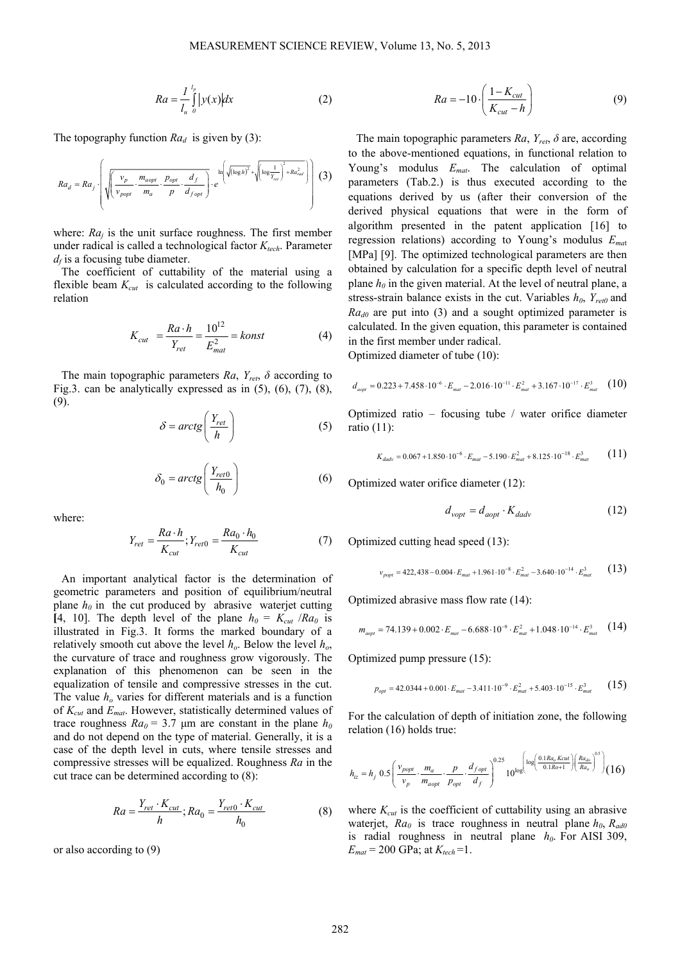$$
Ra = \frac{1}{l_n} \int_{0}^{l_p} |y(x)| dx
$$
 (2)

The topography function  $Ra_d$  is given by (3):

$$
Ra_d = Ra_j \cdot \left( \sqrt{\left( \frac{v_p}{v_{popt}} \cdot \frac{m_{aopt}}{m_a} \cdot \frac{p_{opt}}{p} \cdot \frac{d_f}{d_{fopt}}} \right) \cdot e^{-\ln \left( \sqrt{(\log h)^2} + \sqrt{(\log \frac{1}{\gamma_{ref}})^2 + Ra_{rad}^2}} \right) \right)
$$
(3)

where: *Raj* is the unit surface roughness. The first member under radical is called a technological factor  $K_{tech}$ . Parameter  $d_f$  is a focusing tube diameter.

The coefficient of cuttability of the material using a flexible beam  $K_{cut}$  is calculated according to the following relation

$$
K_{cut} = \frac{Ra \cdot h}{Y_{ret}} = \frac{10^{12}}{E_{mat}^2} = konst
$$
 (4)

The main topographic parameters  $Ra$ ,  $Y_{ret}$ ,  $\delta$  according to Fig.3. can be analytically expressed as in  $(5)$ ,  $(6)$ ,  $(7)$ ,  $(8)$ , (9).

$$
\delta = \arctg\left(\frac{Y_{ret}}{h}\right) \tag{5}
$$

$$
\delta_0 = \arctg\left(\frac{Y_{ret0}}{h_0}\right) \tag{6}
$$

where:

$$
Y_{ret} = \frac{Ra \cdot h}{K_{cut}}; Y_{ret0} = \frac{Ra_0 \cdot h_0}{K_{cut}}
$$
(7)

An important analytical factor is the determination of geometric parameters and position of equilibrium/neutral plane  $h_0$  in the cut produced by abrasive waterjet cutting [4, 10]. The depth level of the plane  $h_0 = K_{cut} / Ra_0$  is illustrated in Fig.3. It forms the marked boundary of a relatively smooth cut above the level  $h<sub>o</sub>$ . Below the level  $h<sub>o</sub>$ , the curvature of trace and roughness grow vigorously. The explanation of this phenomenon can be seen in the equalization of tensile and compressive stresses in the cut. The value  $h<sub>o</sub>$  varies for different materials and is a function of *Kcut* and *Emat*. However, statistically determined values of trace roughness  $Ra_0 = 3.7$  µm are constant in the plane  $h_0$ and do not depend on the type of material. Generally, it is a case of the depth level in cuts, where tensile stresses and compressive stresses will be equalized. Roughness *Ra* in the cut trace can be determined according to (8):

$$
Ra = \frac{Y_{ret} \cdot K_{cut}}{h}; Ra_0 = \frac{Y_{ret0} \cdot K_{cut}}{h_0}
$$
(8)

or also according to (9)

$$
Ra = -10 \cdot \left(\frac{1 - K_{cut}}{K_{cut} - h}\right) \tag{9}
$$

The main topographic parameters *Ra*, *Yret*, *δ* are, according to the above-mentioned equations, in functional relation to Young's modulus *Emat*. The calculation of optimal parameters (Tab.2.) is thus executed according to the equations derived by us (after their conversion of the derived physical equations that were in the form of algorithm presented in the patent application [16] to regression relations) according to Young's modulus *Ema*<sup>t</sup> [MPa] [9]. The optimized technological parameters are then obtained by calculation for a specific depth level of neutral plane  $h_0$  in the given material. At the level of neutral plane, a stress-strain balance exists in the cut. Variables  $h_0$ ,  $Y_{\text{ret}}$  and *Ra<sub>d0</sub>* are put into (3) and a sought optimized parameter is calculated. In the given equation, this parameter is contained in the first member under radical.

Optimized diameter of tube (10):

$$
d_{aopt} = 0.223 + 7.458 \cdot 10^{-6} \cdot E_{mat} - 2.016 \cdot 10^{-11} \cdot E_{mat}^2 + 3.167 \cdot 10^{-17} \cdot E_{mat}^3 \quad (10)
$$

Optimized ratio – focusing tube / water orifice diameter ratio (11):

$$
K_{dadv} = 0.067 + 1.850 \cdot 10^{-6} \cdot E_{mat} - 5.190 \cdot E_{mat}^2 + 8.125 \cdot 10^{-18} \cdot E_{mat}^3 \tag{11}
$$

Optimized water orifice diameter (12):

$$
d_{vopt} = d_{aopt} \cdot K_{dadv} \tag{12}
$$

Optimized cutting head speed (13):

$$
v_{\text{popt}} = 422,438 - 0.004 \cdot E_{\text{mat}} + 1.961 \cdot 10^{-8} \cdot E_{\text{mat}}^2 - 3.640 \cdot 10^{-14} \cdot E_{\text{mat}}^3 \tag{13}
$$

Optimized abrasive mass flow rate (14):

$$
m_{aopt} = 74.139 + 0.002 \cdot E_{mat} - 6.688 \cdot 10^{-9} \cdot E_{mat}^2 + 1.048 \cdot 10^{-14} \cdot E_{mat}^3 \quad (14)
$$

Optimized pump pressure (15):

$$
p_{opt} = 42.0344 + 0.001 \cdot E_{mat} - 3.411 \cdot 10^{-9} \cdot E_{mat}^2 + 5.403 \cdot 10^{-15} \cdot E_{mat}^3 \tag{15}
$$

For the calculation of depth of initiation zone, the following relation (16) holds true:

$$
h_{iz} = h_j \ 0.5 \left( \frac{v_{popt}}{v_p} \cdot \frac{m_a}{m_{aopt}} \cdot \frac{p}{p_{opt}} \cdot \frac{d_{fopt}}{d_f} \right)^{0.25} 10^{\log \left( \frac{0.1 R a_o K cut}{0.1 R o + 1} \right) \left( \frac{R a_{do}}{R a_o} \right)^{0.5}} \right) (16)
$$

where  $K_{cut}$  is the coefficient of cuttability using an abrasive waterjet,  $Ra_0$  is trace roughness in neutral plane  $h_0$ ,  $R_{\text{ad0}}$ is radial roughness in neutral plane  $h_0$ . For AISI 309,  $E_{mat} = 200 \text{ GPa}$ ; at  $K_{tech} = 1$ .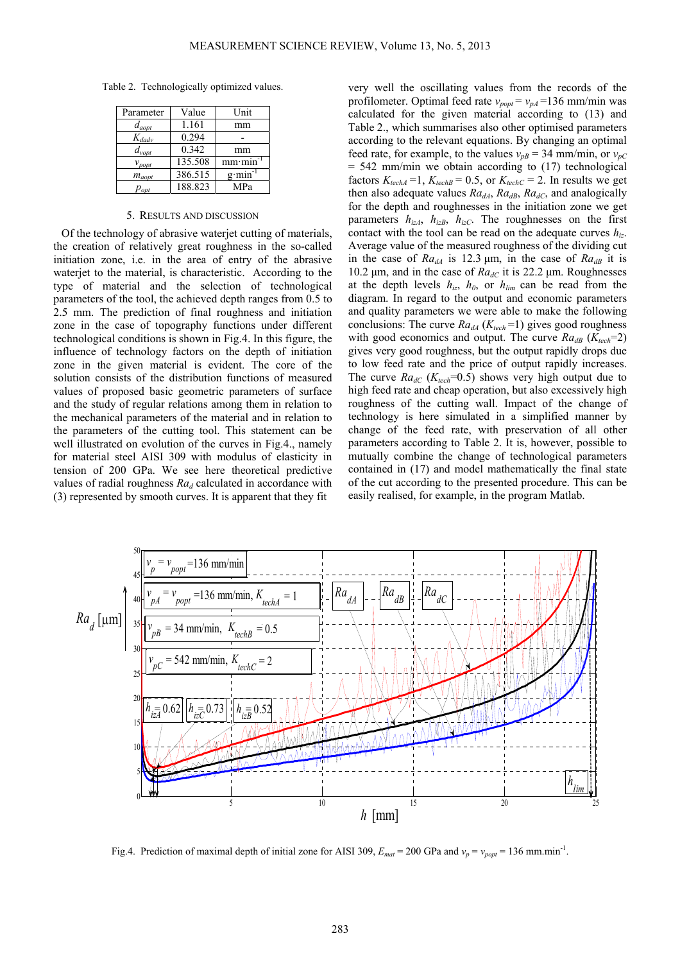Table 2. Technologically optimized values.

| Parameter          | Value   | Unit    |
|--------------------|---------|---------|
| $d_{aopt}$         | 1.161   | mm      |
| $K_{dadv}$         | 0.294   |         |
| $d_{vopt}$         | 0.342   | mm      |
| $v_{\text{popt}}$  | 135.508 | mm·min  |
| $m_{aopt}$         | 386.515 | $g$ min |
| $p_{\textit{opt}}$ | 188.823 | MPa     |

#### 5. RESULTS AND DISCUSSION

Of the technology of abrasive waterjet cutting of materials, the creation of relatively great roughness in the so-called initiation zone, i.e. in the area of entry of the abrasive waterjet to the material, is characteristic. According to the type of material and the selection of technological parameters of the tool, the achieved depth ranges from 0.5 to 2.5 mm. The prediction of final roughness and initiation zone in the case of topography functions under different technological conditions is shown in Fig.4. In this figure, the influence of technology factors on the depth of initiation zone in the given material is evident. The core of the solution consists of the distribution functions of measured values of proposed basic geometric parameters of surface and the study of regular relations among them in relation to the mechanical parameters of the material and in relation to the parameters of the cutting tool. This statement can be well illustrated on evolution of the curves in Fig.4., namely for material steel AISI 309 with modulus of elasticity in tension of 200 GPa. We see here theoretical predictive values of radial roughness  $Ra_d$  calculated in accordance with (3) represented by smooth curves. It is apparent that they fit

very well the oscillating values from the records of the profilometer. Optimal feed rate  $v_{\text{post}} = v_{\text{pA}} = 136$  mm/min was calculated for the given material according to (13) and Table 2., which summarises also other optimised parameters according to the relevant equations. By changing an optimal feed rate, for example, to the values  $v_{pB} = 34$  mm/min, or  $v_{pC}$  $= 542$  mm/min we obtain according to  $(17)$  technological factors  $K_{techA}$  =1,  $K_{techB}$  = 0.5, or  $K_{techC}$  = 2. In results we get then also adequate values  $Ra_{dA}$ ,  $Ra_{dB}$ ,  $Ra_{dC}$ , and analogically for the depth and roughnesses in the initiation zone we get parameters  $h_{izA}$ ,  $h_{izB}$ ,  $h_{izC}$ . The roughnesses on the first contact with the tool can be read on the adequate curves  $h_{iz}$ . Average value of the measured roughness of the dividing cut in the case of  $Ra_{dA}$  is 12.3  $\mu$ m, in the case of  $Ra_{dB}$  it is 10.2 μm, and in the case of  $Ra_{dC}$  it is 22.2 μm. Roughnesses at the depth levels  $h_{iz}$ ,  $h_{0}$ , or  $h_{lim}$  can be read from the diagram. In regard to the output and economic parameters and quality parameters we were able to make the following conclusions: The curve  $Ra_{dA}$  ( $K_{tech}$ =1) gives good roughness with good economics and output. The curve  $Ra_{dB}$  ( $K_{tech}$ =2) gives very good roughness, but the output rapidly drops due to low feed rate and the price of output rapidly increases. The curve  $Ra_{dC}$  ( $K_{tech}$ =0.5) shows very high output due to high feed rate and cheap operation, but also excessively high roughness of the cutting wall. Impact of the change of technology is here simulated in a simplified manner by change of the feed rate, with preservation of all other parameters according to Table 2. It is, however, possible to mutually combine the change of technological parameters contained in (17) and model mathematically the final state of the cut according to the presented procedure. This can be easily realised, for example, in the program Matlab.



Fig.4. Prediction of maximal depth of initial zone for AISI 309,  $E_{mat} = 200$  GPa and  $v_p = v_{popt} = 136$  mm.min<sup>-1</sup>.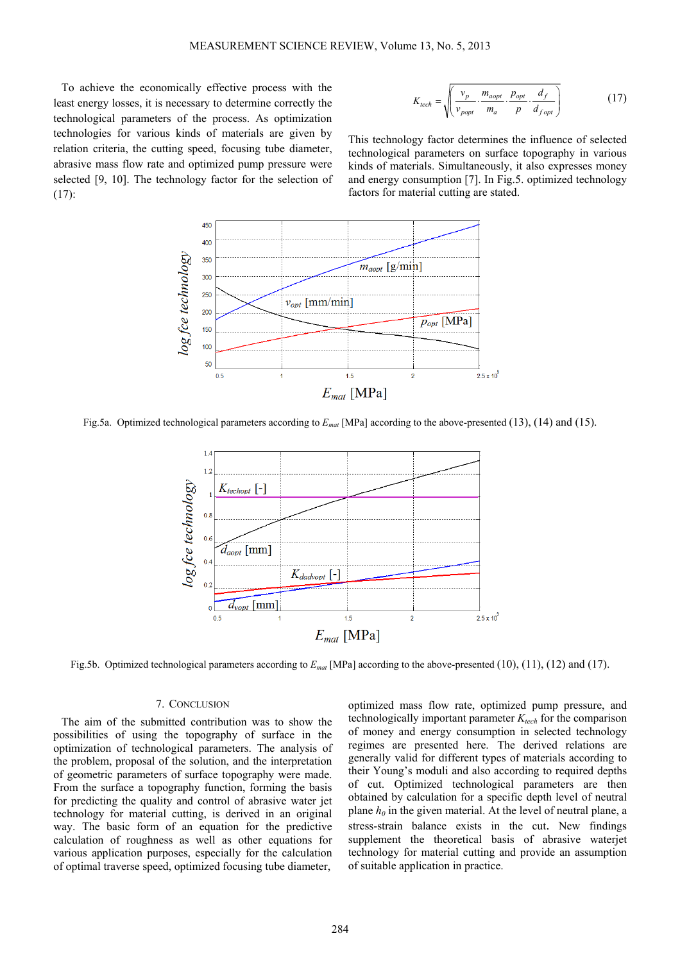To achieve the economically effective process with the least energy losses, it is necessary to determine correctly the technological parameters of the process. As optimization technologies for various kinds of materials are given by relation criteria, the cutting speed, focusing tube diameter, abrasive mass flow rate and optimized pump pressure were selected [9, 10]. The technology factor for the selection of (17):

$$
K_{tech} = \sqrt{\left(\frac{v_p}{v_{popt}} \cdot \frac{m_{aopt}}{m_a} \cdot \frac{p_{opt}}{p} \cdot \frac{d_f}{d_{fopt}}\right)}
$$
(17)

This technology factor determines the influence of selected technological parameters on surface topography in various kinds of materials. Simultaneously, it also expresses money and energy consumption [7]. In Fig.5. optimized technology factors for material cutting are stated.



Fig.5a. Optimized technological parameters according to *Emat* [MPa] according to the above-presented (13), (14) and (15).



Fig.5b. Optimized technological parameters according to *Emat* [MPa] according to the above-presented (10), (11), (12) and (17).

### 7. CONCLUSION

The aim of the submitted contribution was to show the possibilities of using the topography of surface in the optimization of technological parameters. The analysis of the problem, proposal of the solution, and the interpretation of geometric parameters of surface topography were made. From the surface a topography function, forming the basis for predicting the quality and control of abrasive water jet technology for material cutting, is derived in an original way. The basic form of an equation for the predictive calculation of roughness as well as other equations for various application purposes, especially for the calculation of optimal traverse speed, optimized focusing tube diameter,

optimized mass flow rate, optimized pump pressure, and technologically important parameter  $K_{tech}$  for the comparison of money and energy consumption in selected technology regimes are presented here. The derived relations are generally valid for different types of materials according to their Young's moduli and also according to required depths of cut. Optimized technological parameters are then obtained by calculation for a specific depth level of neutral plane  $h_0$  in the given material. At the level of neutral plane, a stress-strain balance exists in the cut. New findings supplement the theoretical basis of abrasive waterjet technology for material cutting and provide an assumption of suitable application in practice.